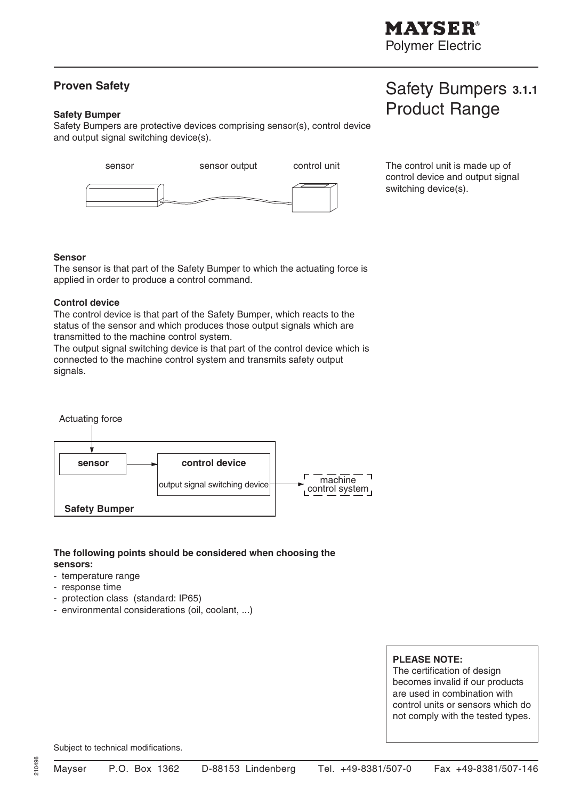### **Proven Safety**

#### **Safety Bumper**

Safety Bumpers are protective devices comprising sensor(s), control device and output signal switching device(s).



Safety Bumpers **3.1.1**

Product Range

control device and output signal switching device(s).

#### **Sensor**

The sensor is that part of the Safety Bumper to which the actuating force is applied in order to produce a control command.

#### **Control device**

The control device is that part of the Safety Bumper, which reacts to the status of the sensor and which produces those output signals which are transmitted to the machine control system.

The output signal switching device is that part of the control device which is connected to the machine control system and transmits safety output signals.



#### **The following points should be considered when choosing the sensors:**

- temperature range
- response time
- protection class (standard: IP65)
- environmental considerations (oil, coolant, ...)

#### **PLEASE NOTE:**

The certification of design becomes invalid if our products are used in combination with control units or sensors which do not comply with the tested types.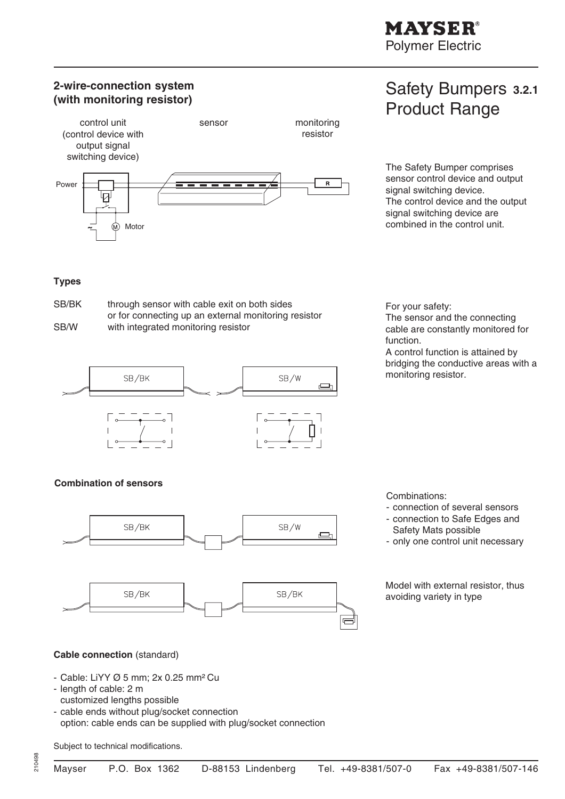# **2-wire-connection system (with monitoring resistor)**



# Safety Bumpers **3.2.1** Product Range

The Safety Bumper comprises sensor control device and output signal switching device. The control device and the output signal switching device are combined in the control unit.

#### **Types**

SB/BK through sensor with cable exit on both sides or for connecting up an external monitoring resistor SB/W with integrated monitoring resistor



#### **Combination of sensors**



For your safety: The sensor and the connecting cable are constantly monitored for function.

A control function is attained by bridging the conductive areas with a monitoring resistor.

Combinations:

- connection of several sensors
- connection to Safe Edges and Safety Mats possible
- only one control unit necessary

Model with external resistor, thus avoiding variety in type

#### **Cable connection** (standard)

- Cable: LiYY Ø 5 mm; 2x 0.25 mm² Cu
- length of cable: 2 m
- customized lengths possible
- cable ends without plug/socket connection option: cable ends can be supplied with plug/socket connection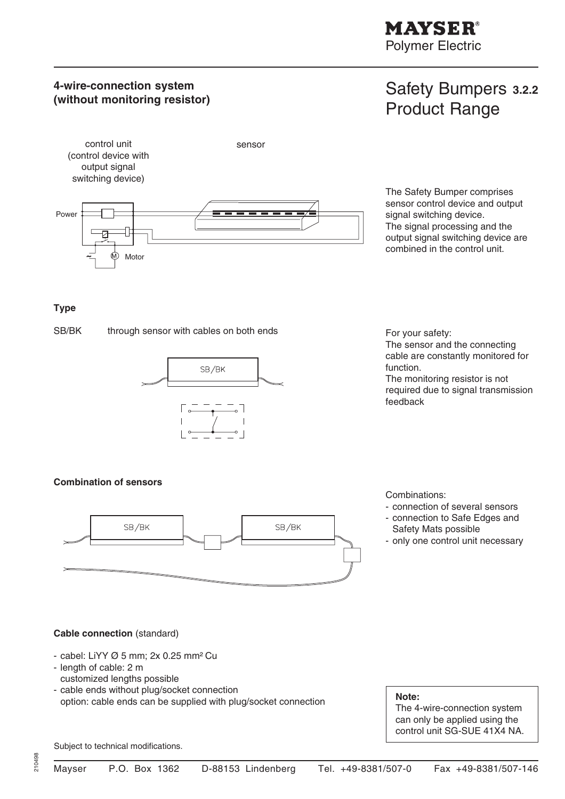**MAYSER®** 

Polymer Electric

# **4-wire-connection system (without monitoring resistor)**

# Safety Bumpers **3.2.2** Product Range



The Safety Bumper comprises sensor control device and output signal switching device. The signal processing and the output signal switching device are combined in the control unit.

#### **Type**

SB/BK through sensor with cables on both ends For your safety:



The sensor and the connecting cable are constantly monitored for function.

The monitoring resistor is not required due to signal transmission feedback

#### **Combination of sensors**



Combinations:

- connection of several sensors
- connection to Safe Edges and Safety Mats possible
- only one control unit necessary

#### **Cable connection** (standard)

- cabel: LiYY Ø 5 mm; 2x 0.25 mm² Cu
- length of cable: 2 m customized lengths possible
- cable ends without plug/socket connection option: cable ends can be supplied with plug/socket connection **Note:**

The 4-wire-connection system can only be applied using the control unit SG-SUE 41X4 NA.

Subject to technical modifications.

210498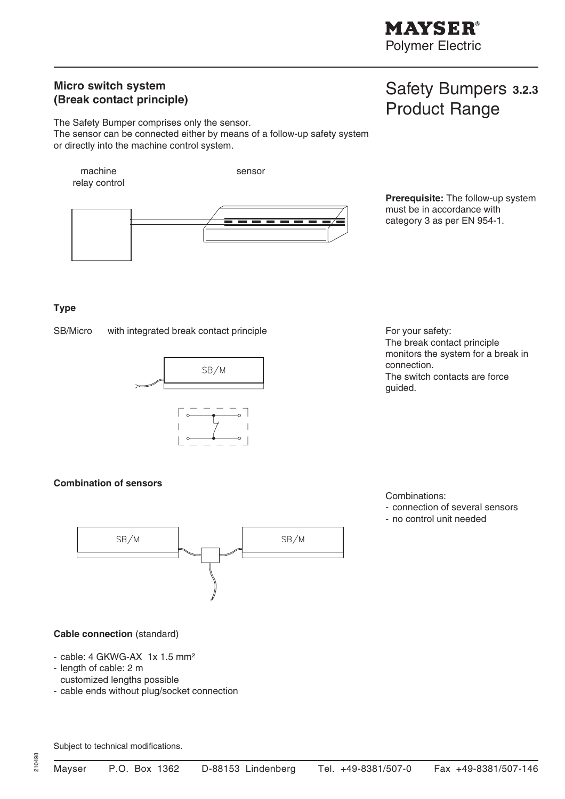Safety Bumpers **3.2.3**

Product Range

### **Micro switch system (Break contact principle)**

The Safety Bumper comprises only the sensor. The sensor can be connected either by means of a follow-up safety system or directly into the machine control system.



#### **Type**

SB/Micro with integrated break contact principle For your safety:



The break contact principle monitors the system for a break in connection. The switch contacts are force guided.

#### **Combination of sensors**



Combinations:

- connection of several sensors
- no control unit needed

#### **Cable connection** (standard)

- cable: 4 GKWG-AX 1x 1.5 mm<sup>2</sup>
- length of cable: 2 m customized lengths possible
- cable ends without plug/socket connection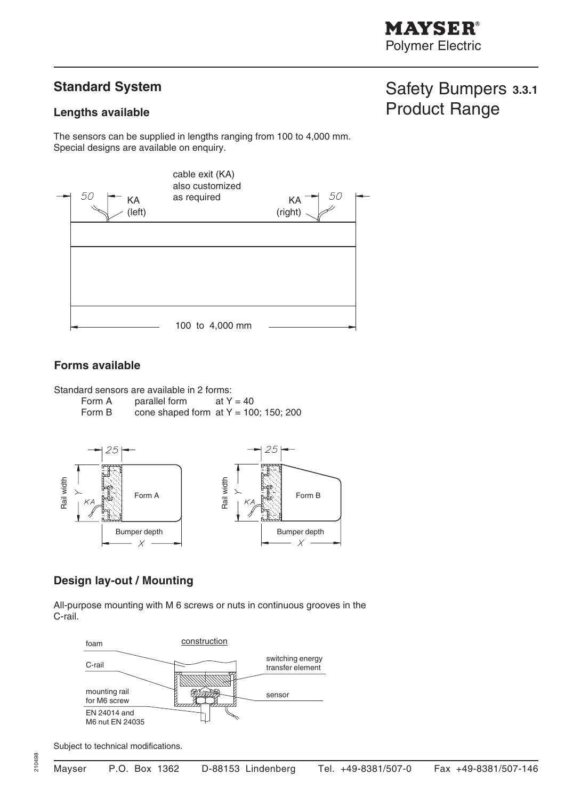# **Standard System**

### **Lengths available**

The sensors can be supplied in lengths ranging from 100 to 4,000 mm. Special designs are available on enquiry.



### **Forms available**

Standard sensors are available in 2 forms:

Form A parallel form  $at Y = 40$ Form B cone shaped form at  $Y = 100$ ; 150; 200



# **Design lay-out / Mounting**

All-purpose mounting with M 6 screws or nuts in continuous grooves in the C-rail.



Subject to technical modifications.

210498

# Safety Bumpers **3.3.1** Product Range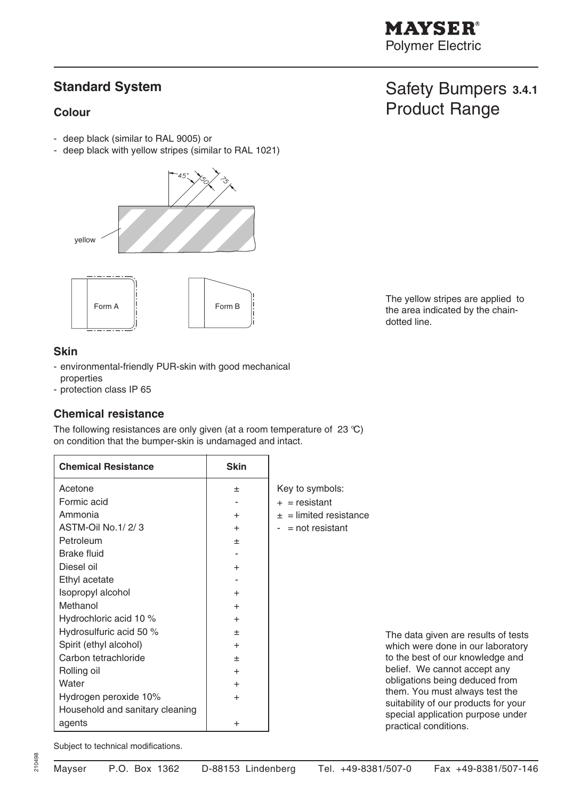# **MAYSER®**

Polymer Electric

Safety Bumpers **3.4.1**

The yellow stripes are applied to the area indicated by the chain-

dotted line.

Product Range

# **Standard System**

#### **Colour**

- deep black (similar to RAL 9005) or
- deep black with yellow stripes (similar to RAL 1021)



#### **Skin**

- environmental-friendly PUR-skin with good mechanical properties
- protection class IP 65

### **Chemical resistance**

The following resistances are only given (at a room temperature of 23 °C) on condition that the bumper-skin is undamaged and intact.

| <b>Chemical Resistance</b>      | <b>Skin</b> |                                                                        |
|---------------------------------|-------------|------------------------------------------------------------------------|
| Acetone                         | 士           | Key to symbols:                                                        |
| Formic acid                     |             | $+$ = resistant                                                        |
| Ammonia                         | $+$         | $\pm$ = limited resistance                                             |
| ASTM-Oil No.1/2/3               | $\pm$       | $-$ = not resistant                                                    |
| Petroleum                       | 士           |                                                                        |
| <b>Brake fluid</b>              |             |                                                                        |
| Diesel oil                      | $+$         |                                                                        |
| Ethyl acetate                   |             |                                                                        |
| Isopropyl alcohol               | $+$         |                                                                        |
| Methanol                        | $+$         |                                                                        |
| Hydrochloric acid 10 %          | $+$         |                                                                        |
| Hydrosulfuric acid 50 %         | 土           | The data given are results of tests                                    |
| Spirit (ethyl alcohol)          | $^{+}$      | which were done in our laboratory                                      |
| Carbon tetrachloride            | 土           | to the best of our knowledge and                                       |
| Rolling oil                     | $+$         | belief. We cannot accept any                                           |
| Water                           | $+$         | obligations being deduced from                                         |
| Hydrogen peroxide 10%           | $\ddot{}$   | them. You must always test the<br>suitability of our products for your |
| Household and sanitary cleaning |             | special application purpose under                                      |
| agents                          | $\ddot{}$   | practical conditions.                                                  |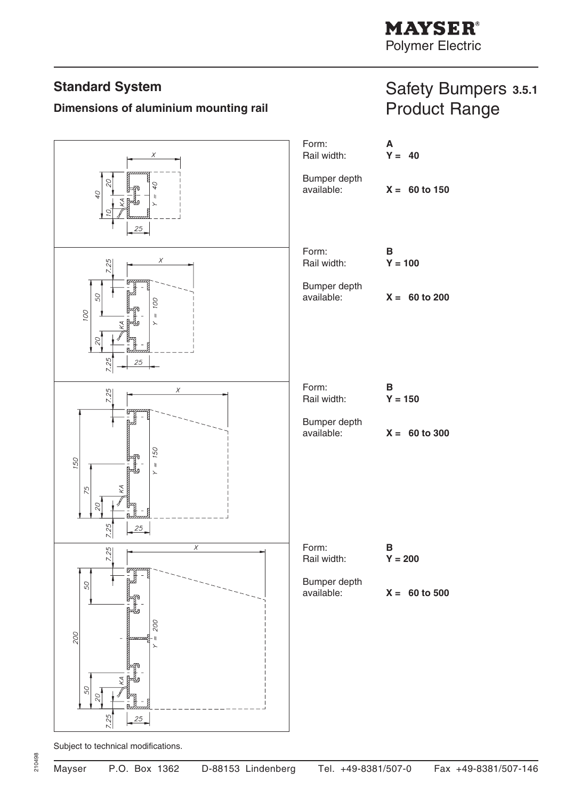# **Standard System**

# **Dimensions of aluminium mounting rail**

# Safety Bumpers **3.5.1** Product Range

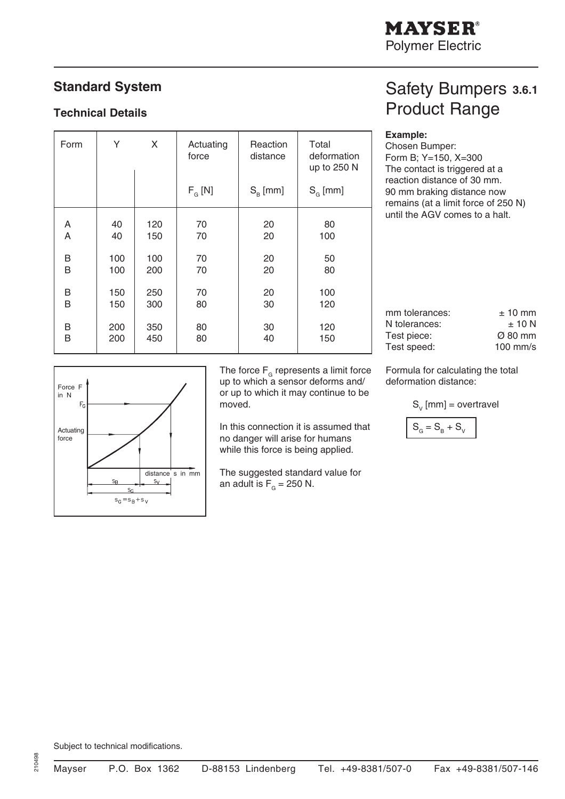# **Standard System**

### **Technical Details**

| Form | Υ<br>X |     | Actuating<br>force | Reaction<br>distance | Total<br>deformation<br>up to 250 N |
|------|--------|-----|--------------------|----------------------|-------------------------------------|
|      |        |     | $F_G[N]$           | $S_{\rm R}$ [mm]     | $S_{\alpha}$ [mm]                   |
| A    | 40     | 120 | 70                 | 20                   | 80                                  |
| A    | 40     | 150 | 70                 | 20                   | 100                                 |
| B    | 100    | 100 | 70                 | 20                   |                                     |
| B    | 100    | 200 | 70                 | 20                   |                                     |
| B    | 150    | 250 | 70                 | 20                   | 100                                 |
| B    | 150    | 300 | 80                 | 30                   | 120                                 |
| B    | 200    | 350 | 80                 | 30                   | 120                                 |
| B    | 200    | 450 | 80                 | 40                   | 150                                 |

# Safety Bumpers **3.6.1** Product Range

#### **Example:**

Chosen Bumper: Form B; Y=150, X=300 The contact is triggered at a reaction distance of 30 mm. 90 mm braking distance now remains (at a limit force of 250 N) until the AGV comes to a halt.

| Force F                   |                   |                  |
|---------------------------|-------------------|------------------|
| in N                      |                   |                  |
| $\mathsf{F}_{\mathsf{G}}$ |                   |                  |
|                           |                   |                  |
|                           |                   |                  |
| Actuating<br>force        |                   |                  |
|                           |                   |                  |
|                           |                   |                  |
|                           |                   |                  |
|                           |                   | distance s in mm |
|                           | $S_{\text{B}}$    | $S_V$            |
|                           | $S_{\rm G}$       |                  |
|                           | $s_G = s_B + s_V$ |                  |
|                           |                   |                  |

The force  $F<sub>G</sub>$  represents a limit force up to which a sensor deforms and/ or up to which it may continue to be moved.

In this connection it is assumed that no danger will arise for humans while this force is being applied.

The suggested standard value for an adult is  $F<sub>G</sub> = 250$  N.

Formula for calculating the total deformation distance:

mm tolerances:  $\pm 10$  mm N tolerances:  $\pm 10 \text{ N}$ Test piece: Ø 80 mm Test speed: 100 mm/s

 $S_{v}$  [mm] = overtravel

$$
S_{G} = S_{B} + S_{V}
$$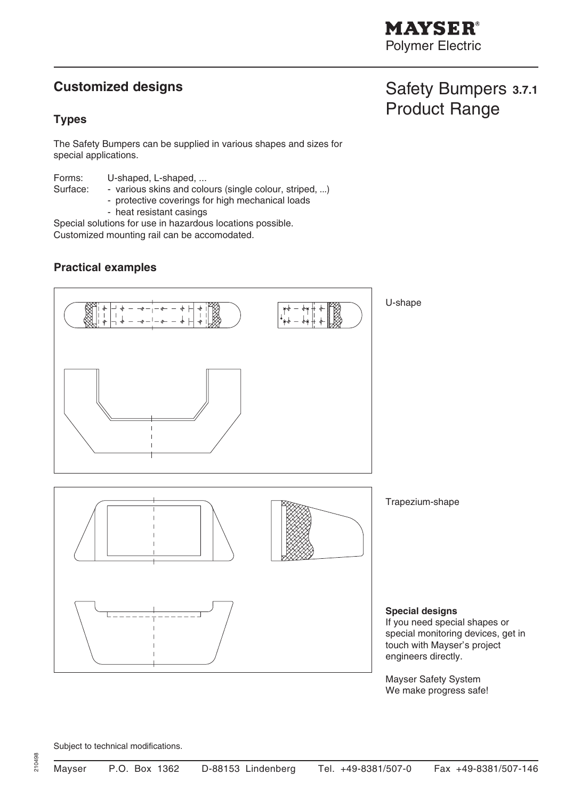# **Customized designs**

### **Types**

The Safety Bumpers can be supplied in various shapes and sizes for special applications.

Forms: U-shaped, L-shaped, ... Surface: - various skins and colours (single colour, striped, ...)

- protective coverings for high mechanical loads
- heat resistant casings

Special solutions for use in hazardous locations possible. Customized mounting rail can be accomodated.

### **Practical examples**



Mayser Safety System We make progress safe!

Subject to technical modifications.

# Safety Bumpers **3.7.1** Product Range